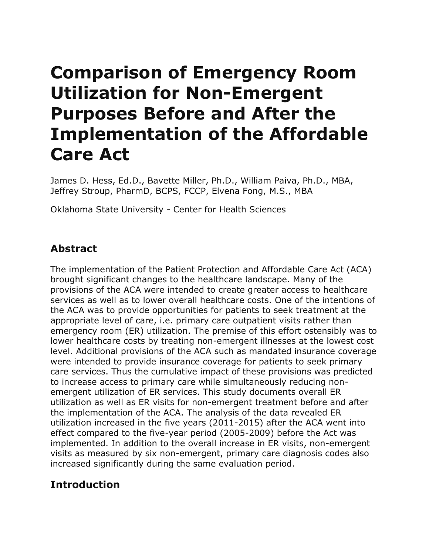# **Comparison of Emergency Room Utilization for Non-Emergent Purposes Before and After the Implementation of the Affordable Care Act**

James D. Hess, Ed.D., Bavette Miller, Ph.D., William Paiva, Ph.D., MBA, Jeffrey Stroup, PharmD, BCPS, FCCP, Elvena Fong, M.S., MBA

Oklahoma State University - Center for Health Sciences

## **Abstract**

The implementation of the Patient Protection and Affordable Care Act (ACA) brought significant changes to the healthcare landscape. Many of the provisions of the ACA were intended to create greater access to healthcare services as well as to lower overall healthcare costs. One of the intentions of the ACA was to provide opportunities for patients to seek treatment at the appropriate level of care, i.e. primary care outpatient visits rather than emergency room (ER) utilization. The premise of this effort ostensibly was to lower healthcare costs by treating non-emergent illnesses at the lowest cost level. Additional provisions of the ACA such as mandated insurance coverage were intended to provide insurance coverage for patients to seek primary care services. Thus the cumulative impact of these provisions was predicted to increase access to primary care while simultaneously reducing nonemergent utilization of ER services. This study documents overall ER utilization as well as ER visits for non-emergent treatment before and after the implementation of the ACA. The analysis of the data revealed ER utilization increased in the five years (2011-2015) after the ACA went into effect compared to the five-year period (2005-2009) before the Act was implemented. In addition to the overall increase in ER visits, non-emergent visits as measured by six non-emergent, primary care diagnosis codes also increased significantly during the same evaluation period.

# **Introduction**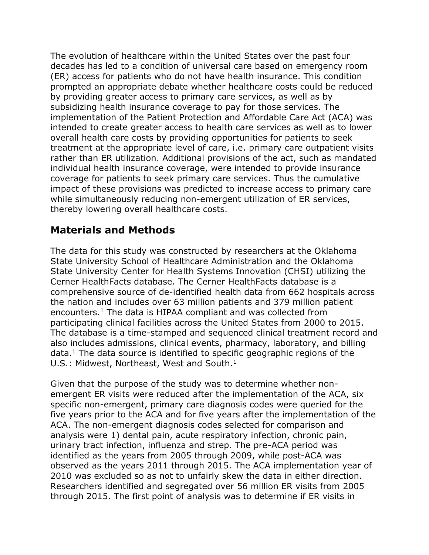The evolution of healthcare within the United States over the past four decades has led to a condition of universal care based on emergency room (ER) access for patients who do not have health insurance. This condition prompted an appropriate debate whether healthcare costs could be reduced by providing greater access to primary care services, as well as by subsidizing health insurance coverage to pay for those services. The implementation of the Patient Protection and Affordable Care Act (ACA) was intended to create greater access to health care services as well as to lower overall health care costs by providing opportunities for patients to seek treatment at the appropriate level of care, i.e. primary care outpatient visits rather than ER utilization. Additional provisions of the act, such as mandated individual health insurance coverage, were intended to provide insurance coverage for patients to seek primary care services. Thus the cumulative impact of these provisions was predicted to increase access to primary care while simultaneously reducing non-emergent utilization of ER services, thereby lowering overall healthcare costs.

# **Materials and Methods**

The data for this study was constructed by researchers at the Oklahoma State University School of Healthcare Administration and the Oklahoma State University Center for Health Systems Innovation (CHSI) utilizing the Cerner HealthFacts database. The Cerner HealthFacts database is a comprehensive source of de-identified health data from 662 hospitals across the nation and includes over 63 million patients and 379 million patient encounters.<sup>1</sup> The data is HIPAA compliant and was collected from participating clinical facilities across the United States from 2000 to 2015. The database is a time-stamped and sequenced clinical treatment record and also includes admissions, clinical events, pharmacy, laboratory, and billing  $data<sup>1</sup>$ . The data source is identified to specific geographic regions of the U.S.: Midwest, Northeast, West and South.<sup>1</sup>

Given that the purpose of the study was to determine whether nonemergent ER visits were reduced after the implementation of the ACA, six specific non-emergent, primary care diagnosis codes were queried for the five years prior to the ACA and for five years after the implementation of the ACA. The non-emergent diagnosis codes selected for comparison and analysis were 1) dental pain, acute respiratory infection, chronic pain, urinary tract infection, influenza and strep. The pre-ACA period was identified as the years from 2005 through 2009, while post-ACA was observed as the years 2011 through 2015. The ACA implementation year of 2010 was excluded so as not to unfairly skew the data in either direction. Researchers identified and segregated over 56 million ER visits from 2005 through 2015. The first point of analysis was to determine if ER visits in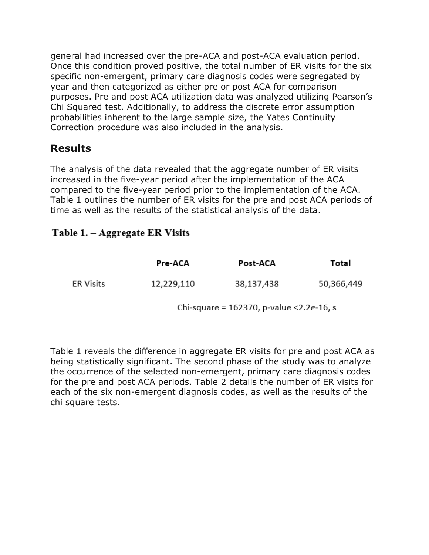general had increased over the pre-ACA and post-ACA evaluation period. Once this condition proved positive, the total number of ER visits for the six specific non-emergent, primary care diagnosis codes were segregated by year and then categorized as either pre or post ACA for comparison purposes. Pre and post ACA utilization data was analyzed utilizing Pearson's Chi Squared test. Additionally, to address the discrete error assumption probabilities inherent to the large sample size, the Yates Continuity Correction procedure was also included in the analysis.

## **Results**

The analysis of the data revealed that the aggregate number of ER visits increased in the five-year period after the implementation of the ACA compared to the five-year period prior to the implementation of the ACA. Table 1 outlines the number of ER visits for the pre and post ACA periods of time as well as the results of the statistical analysis of the data.

### Table 1. - Aggregate ER Visits

|                  | Pre-ACA    | Post-ACA   | Total      |
|------------------|------------|------------|------------|
| <b>ER Visits</b> | 12,229,110 | 38,137,438 | 50,366,449 |

Chi-square = 162370, p-value < 2.2e-16, s

Table 1 reveals the difference in aggregate ER visits for pre and post ACA as being statistically significant. The second phase of the study was to analyze the occurrence of the selected non-emergent, primary care diagnosis codes for the pre and post ACA periods. Table 2 details the number of ER visits for each of the six non-emergent diagnosis codes, as well as the results of the chi square tests.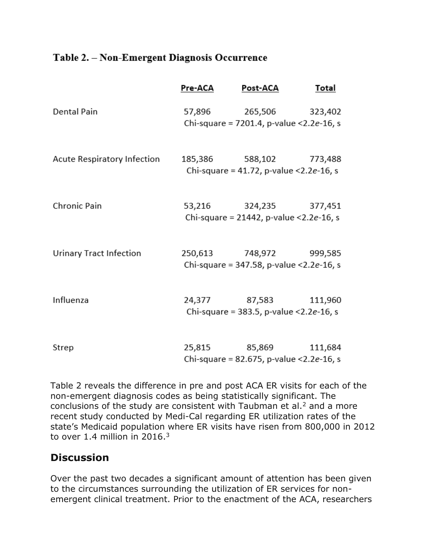#### Table 2. - Non-Emergent Diagnosis Occurrence

|                                | Pre-ACA | Post-ACA                                                              | Total   |
|--------------------------------|---------|-----------------------------------------------------------------------|---------|
| Dental Pain                    | 57,896  | 265,506 323,402<br>Chi-square = 7201.4, p-value < 2.2e-16, s          |         |
| Acute Respiratory Infection    | 185,386 | 588,102 773,488<br>Chi-square = $41.72$ , p-value < $2.2e-16$ , s     |         |
| Chronic Pain                   |         | 53,216 324,235 377,451<br>Chi-square = 21442, p-value < $2.2e-16$ , s |         |
| <b>Urinary Tract Infection</b> |         | 250,613 748,972 999,585<br>Chi-square = 347.58, p-value < 2.2e-16, s  |         |
| Influenza                      |         | 24,377 87,583<br>Chi-square = 383.5, p-value < $2.2e-16$ , s          | 111,960 |
| Strep                          |         | 25,815 85,869<br>Chi-square = 82.675, p-value < 2.2e-16, s            | 111,684 |

Table 2 reveals the difference in pre and post ACA ER visits for each of the non-emergent diagnosis codes as being statistically significant. The conclusions of the study are consistent with Taubman et al.<sup>2</sup> and a more recent study conducted by Medi-Cal regarding ER utilization rates of the state's Medicaid population where ER visits have risen from 800,000 in 2012 to over 1.4 million in  $2016.<sup>3</sup>$ 

## **Discussion**

Over the past two decades a significant amount of attention has been given to the circumstances surrounding the utilization of ER services for nonemergent clinical treatment. Prior to the enactment of the ACA, researchers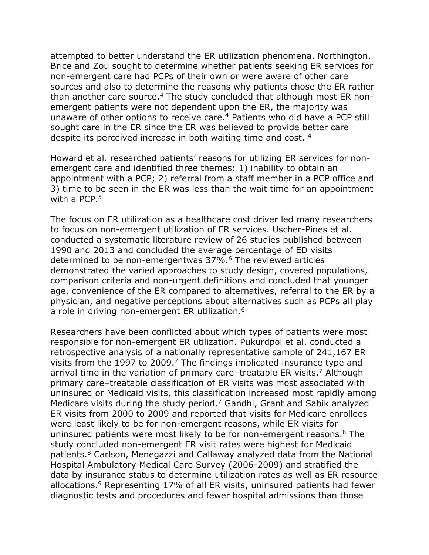attempted to better understand the ER utilization phenomena. Northington, Brice and Zou sought to determine whether patients seeking ER services for non-emergent care had PCPs of their own or were aware of other care sources and also to determine the reasons why patients chose the ER rather than another care source.<sup>4</sup> The study concluded that although most ER nonemergent patients were not dependent upon the ER, the majority was unaware of other options to receive care.<sup>4</sup> Patients who did have a PCP still sought care in the ER since the ER was believed to provide better care despite its perceived increase in both waiting time and cost. <sup>4</sup>

Howard et al. researched patients' reasons for utilizing ER services for nonemergent care and identified three themes: 1) inability to obtain an appointment with a PCP; 2) referral from a staff member in a PCP office and 3) time to be seen in the ER was less than the wait time for an appointment with a PCP.<sup>5</sup>

The focus on ER utilization as a healthcare cost driver led many researchers to focus on non-emergent utilization of ER services. Uscher-Pines et al. conducted a systematic literature review of 26 studies published between 1990 and 2013 and concluded the average percentage of ED visits determined to be non-emergentwas 37%.<sup>6</sup> The reviewed articles demonstrated the varied approaches to study design, covered populations, comparison criteria and non-urgent definitions and concluded that younger age, convenience of the ER compared to alternatives, referral to the ER by a physician, and negative perceptions about alternatives such as PCPs all play a role in driving non-emergent ER utilization.<sup>6</sup>

Researchers have been conflicted about which types of patients were most responsible for non-emergent ER utilization. Pukurdpol et al. conducted a retrospective analysis of a nationally representative sample of 241,167 ER visits from the 1997 to 2009.<sup>7</sup> The findings implicated insurance type and arrival time in the variation of primary care–treatable ER visits.<sup>7</sup> Although primary care–treatable classification of ER visits was most associated with uninsured or Medicaid visits, this classification increased most rapidly among Medicare visits during the study period.<sup>7</sup> Gandhi, Grant and Sabik analyzed ER visits from 2000 to 2009 and reported that visits for Medicare enrollees were least likely to be for non-emergent reasons, while ER visits for uninsured patients were most likely to be for non-emergent reasons.<sup>8</sup> The study concluded non-emergent ER visit rates were highest for Medicaid patients.<sup>8</sup> Carlson, Menegazzi and Callaway analyzed data from the National Hospital Ambulatory Medical Care Survey (2006-2009) and stratified the data by insurance status to determine utilization rates as well as ER resource allocations.<sup>9</sup> Representing 17% of all ER visits, uninsured patients had fewer diagnostic tests and procedures and fewer hospital admissions than those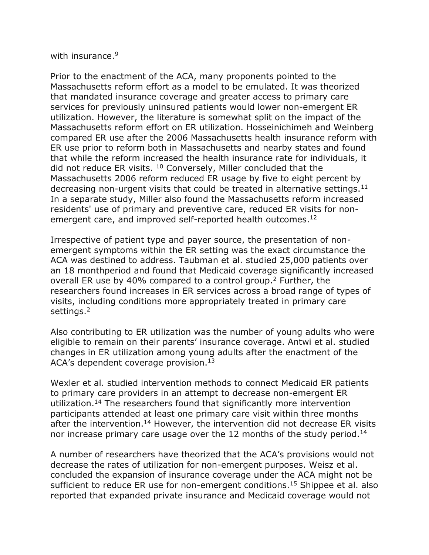with insurance.<sup>9</sup>

Prior to the enactment of the ACA, many proponents pointed to the Massachusetts reform effort as a model to be emulated. It was theorized that mandated insurance coverage and greater access to primary care services for previously uninsured patients would lower non-emergent ER utilization. However, the literature is somewhat split on the impact of the Massachusetts reform effort on ER utilization. Hosseinichimeh and Weinberg compared ER use after the 2006 Massachusetts health insurance reform with ER use prior to reform both in Massachusetts and nearby states and found that while the reform increased the health insurance rate for individuals, it did not reduce ER visits. <sup>10</sup> Conversely, Miller concluded that the Massachusetts 2006 reform reduced ER usage by five to eight percent by decreasing non-urgent visits that could be treated in alternative settings.<sup>11</sup> In a separate study, Miller also found the Massachusetts reform increased residents' use of primary and preventive care, reduced ER visits for nonemergent care, and improved self-reported health outcomes.<sup>12</sup>

Irrespective of patient type and payer source, the presentation of nonemergent symptoms within the ER setting was the exact circumstance the ACA was destined to address. Taubman et al. studied 25,000 patients over an 18 monthperiod and found that Medicaid coverage significantly increased overall ER use by 40% compared to a control group.<sup>2</sup> Further, the researchers found increases in ER services across a broad range of types of visits, including conditions more appropriately treated in primary care settings.<sup>2</sup>

Also contributing to ER utilization was the number of young adults who were eligible to remain on their parents' insurance coverage. Antwi et al. studied changes in ER utilization among young adults after the enactment of the ACA's dependent coverage provision.<sup>13</sup>

Wexler et al. studied intervention methods to connect Medicaid ER patients to primary care providers in an attempt to decrease non-emergent ER utilization.<sup>14</sup> The researchers found that significantly more intervention participants attended at least one primary care visit within three months after the intervention.<sup>14</sup> However, the intervention did not decrease ER visits nor increase primary care usage over the 12 months of the study period.<sup>14</sup>

A number of researchers have theorized that the ACA's provisions would not decrease the rates of utilization for non-emergent purposes. Weisz et al. concluded the expansion of insurance coverage under the ACA might not be sufficient to reduce ER use for non-emergent conditions.<sup>15</sup> Shippee et al. also reported that expanded private insurance and Medicaid coverage would not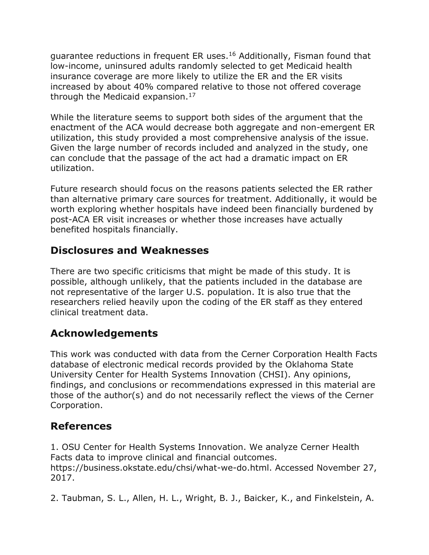guarantee reductions in frequent ER uses.<sup>16</sup> Additionally, Fisman found that low-income, uninsured adults randomly selected to get Medicaid health insurance coverage are more likely to utilize the ER and the ER visits increased by about 40% compared relative to those not offered coverage through the Medicaid expansion.<sup>17</sup>

While the literature seems to support both sides of the argument that the enactment of the ACA would decrease both aggregate and non-emergent ER utilization, this study provided a most comprehensive analysis of the issue. Given the large number of records included and analyzed in the study, one can conclude that the passage of the act had a dramatic impact on ER utilization.

Future research should focus on the reasons patients selected the ER rather than alternative primary care sources for treatment. Additionally, it would be worth exploring whether hospitals have indeed been financially burdened by post-ACA ER visit increases or whether those increases have actually benefited hospitals financially.

# **Disclosures and Weaknesses**

There are two specific criticisms that might be made of this study. It is possible, although unlikely, that the patients included in the database are not representative of the larger U.S. population. It is also true that the researchers relied heavily upon the coding of the ER staff as they entered clinical treatment data.

# **Acknowledgements**

This work was conducted with data from the Cerner Corporation Health Facts database of electronic medical records provided by the Oklahoma State University Center for Health Systems Innovation (CHSI). Any opinions, findings, and conclusions or recommendations expressed in this material are those of the author(s) and do not necessarily reflect the views of the Cerner Corporation.

# **References**

1. OSU Center for Health Systems Innovation. We analyze Cerner Health Facts data to improve clinical and financial outcomes. https://business.okstate.edu/chsi/what-we-do.html. Accessed November 27, 2017.

2. Taubman, S. L., Allen, H. L., Wright, B. J., Baicker, K., and Finkelstein, A.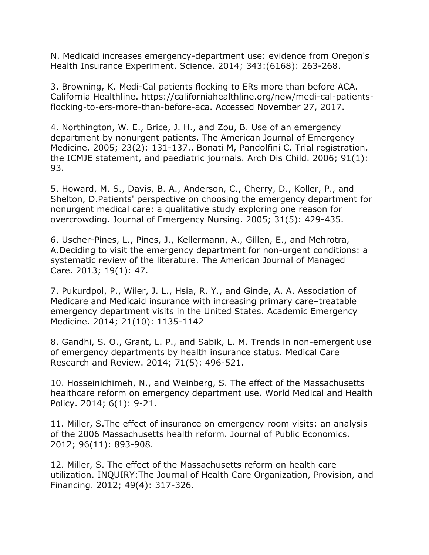N. Medicaid increases emergency-department use: evidence from Oregon's Health Insurance Experiment. Science. 2014; 343:(6168): 263-268.

3. Browning, K. Medi-Cal patients flocking to ERs more than before ACA. California Healthline. https://californiahealthline.org/new/medi-cal-patientsflocking-to-ers-more-than-before-aca. Accessed November 27, 2017.

4. Northington, W. E., Brice, J. H., and Zou, B. Use of an emergency department by nonurgent patients. The American Journal of Emergency Medicine. 2005; 23(2): 131-137.. Bonati M, Pandolfini C. Trial registration, the ICMJE statement, and paediatric journals. Arch Dis Child. 2006; 91(1): 93.

5. Howard, M. S., Davis, B. A., Anderson, C., Cherry, D., Koller, P., and Shelton, D.Patients' perspective on choosing the emergency department for nonurgent medical care: a qualitative study exploring one reason for overcrowding. Journal of Emergency Nursing. 2005; 31(5): 429-435.

6. Uscher-Pines, L., Pines, J., Kellermann, A., Gillen, E., and Mehrotra, A.Deciding to visit the emergency department for non-urgent conditions: a systematic review of the literature. The American Journal of Managed Care. 2013; 19(1): 47.

7. Pukurdpol, P., Wiler, J. L., Hsia, R. Y., and Ginde, A. A. Association of Medicare and Medicaid insurance with increasing primary care–treatable emergency department visits in the United States. Academic Emergency Medicine. 2014; 21(10): 1135-1142

8. Gandhi, S. O., Grant, L. P., and Sabik, L. M. Trends in non-emergent use of emergency departments by health insurance status. Medical Care Research and Review. 2014; 71(5): 496-521.

10. Hosseinichimeh, N., and Weinberg, S. The effect of the Massachusetts healthcare reform on emergency department use. World Medical and Health Policy. 2014; 6(1): 9-21.

11. Miller, S.The effect of insurance on emergency room visits: an analysis of the 2006 Massachusetts health reform. Journal of Public Economics. 2012; 96(11): 893-908.

12. Miller, S. The effect of the Massachusetts reform on health care utilization. INQUIRY:The Journal of Health Care Organization, Provision, and Financing. 2012; 49(4): 317-326.